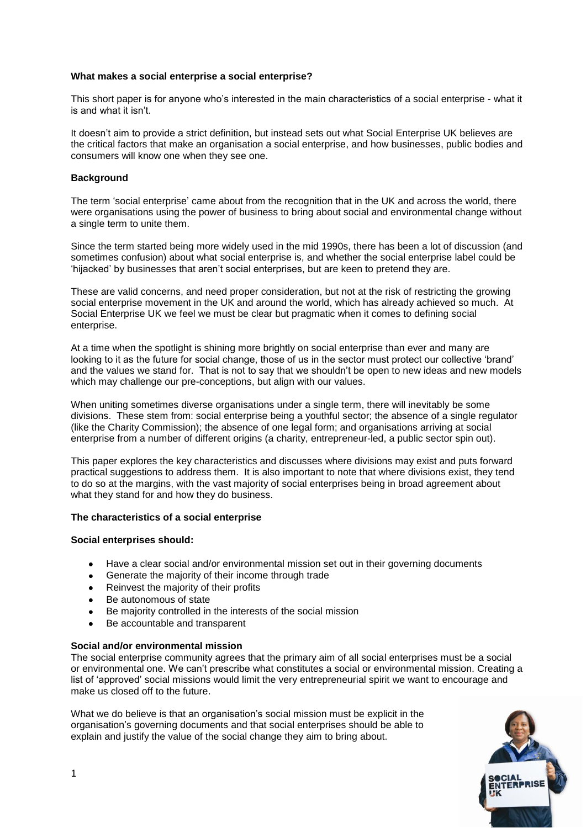# **What makes a social enterprise a social enterprise?**

This short paper is for anyone who's interested in the main characteristics of a social enterprise - what it is and what it isn't.

It doesn't aim to provide a strict definition, but instead sets out what Social Enterprise UK believes are the critical factors that make an organisation a social enterprise, and how businesses, public bodies and consumers will know one when they see one.

## **Background**

The term 'social enterprise' came about from the recognition that in the UK and across the world, there were organisations using the power of business to bring about social and environmental change without a single term to unite them.

Since the term started being more widely used in the mid 1990s, there has been a lot of discussion (and sometimes confusion) about what social enterprise is, and whether the social enterprise label could be 'hijacked' by businesses that aren't social enterprises, but are keen to pretend they are.

These are valid concerns, and need proper consideration, but not at the risk of restricting the growing social enterprise movement in the UK and around the world, which has already achieved so much. At Social Enterprise UK we feel we must be clear but pragmatic when it comes to defining social enterprise.

At a time when the spotlight is shining more brightly on social enterprise than ever and many are looking to it as the future for social change, those of us in the sector must protect our collective 'brand' and the values we stand for. That is not to say that we shouldn't be open to new ideas and new models which may challenge our pre-conceptions, but align with our values.

When uniting sometimes diverse organisations under a single term, there will inevitably be some divisions. These stem from: social enterprise being a youthful sector; the absence of a single regulator (like the Charity Commission); the absence of one legal form; and organisations arriving at social enterprise from a number of different origins (a charity, entrepreneur-led, a public sector spin out).

This paper explores the key characteristics and discusses where divisions may exist and puts forward practical suggestions to address them. It is also important to note that where divisions exist, they tend to do so at the margins, with the vast majority of social enterprises being in broad agreement about what they stand for and how they do business.

#### **The characteristics of a social enterprise**

#### **Social enterprises should:**

- Have a clear social and/or environmental mission set out in their governing documents  $\bullet$
- Generate the majority of their income through trade  $\bullet$
- Reinvest the majority of their profits  $\bullet$
- Be autonomous of state
- Be majority controlled in the interests of the social mission  $\bullet$
- Be accountable and transparent

# **Social and/or environmental mission**

The social enterprise community agrees that the primary aim of all social enterprises must be a social or environmental one. We can't prescribe what constitutes a social or environmental mission. Creating a list of 'approved' social missions would limit the very entrepreneurial spirit we want to encourage and make us closed off to the future.

What we do believe is that an organisation's social mission must be explicit in the organisation's governing documents and that social enterprises should be able to explain and justify the value of the social change they aim to bring about.

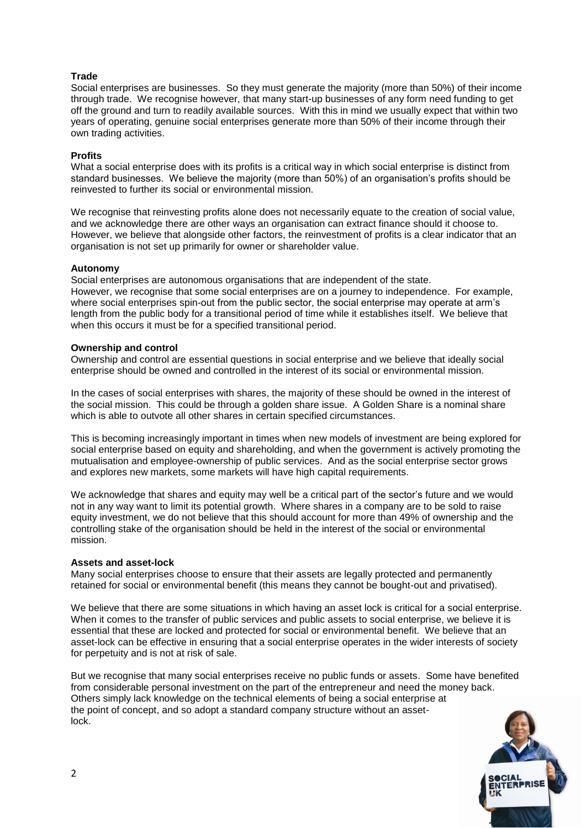# **Trade**

Social enterprises are businesses. So they must generate the majority (more than 50%) of their income through trade. We recognise however, that many start-up businesses of any form need funding to get off the ground and turn to readily available sources. With this in mind we usually expect that within two years of operating, genuine social enterprises generate more than 50% of their income through their own trading activities.

# **Profits**

What a social enterprise does with its profits is a critical way in which social enterprise is distinct from standard businesses. We believe the majority (more than 50%) of an organisation's profits should be reinvested to further its social or environmental mission.

We recognise that reinvesting profits alone does not necessarily equate to the creation of social value, and we acknowledge there are other ways an organisation can extract finance should it choose to. However, we believe that alongside other factors, the reinvestment of profits is a clear indicator that an organisation is not set up primarily for owner or shareholder value.

## **Autonomy**

Social enterprises are autonomous organisations that are independent of the state. However, we recognise that some social enterprises are on a journey to independence. For example, where social enterprises spin-out from the public sector, the social enterprise may operate at arm's length from the public body for a transitional period of time while it establishes itself. We believe that when this occurs it must be for a specified transitional period.

## **Ownership and control**

Ownership and control are essential questions in social enterprise and we believe that ideally social enterprise should be owned and controlled in the interest of its social or environmental mission.

In the cases of social enterprises with shares, the majority of these should be owned in the interest of the social mission. This could be through a golden share issue. A Golden Share is a nominal share which is able to outvote all other shares in certain specified circumstances.

This is becoming increasingly important in times when new models of investment are being explored for social enterprise based on equity and shareholding, and when the government is actively promoting the mutualisation and employee-ownership of public services. And as the social enterprise sector grows and explores new markets, some markets will have high capital requirements.

We acknowledge that shares and equity may well be a critical part of the sector's future and we would not in any way want to limit its potential growth. Where shares in a company are to be sold to raise equity investment, we do not believe that this should account for more than 49% of ownership and the controlling stake of the organisation should be held in the interest of the social or environmental mission.

#### **Assets and asset-lock**

Many social enterprises choose to ensure that their assets are legally protected and permanently retained for social or environmental benefit (this means they cannot be bought-out and privatised).

We believe that there are some situations in which having an asset lock is critical for a social enterprise. When it comes to the transfer of public services and public assets to social enterprise, we believe it is essential that these are locked and protected for social or environmental benefit. We believe that an asset-lock can be effective in ensuring that a social enterprise operates in the wider interests of society for perpetuity and is not at risk of sale.

But we recognise that many social enterprises receive no public funds or assets. Some have benefited from considerable personal investment on the part of the entrepreneur and need the money back. Others simply lack knowledge on the technical elements of being a social enterprise at the point of concept, and so adopt a standard company structure without an assetlock.